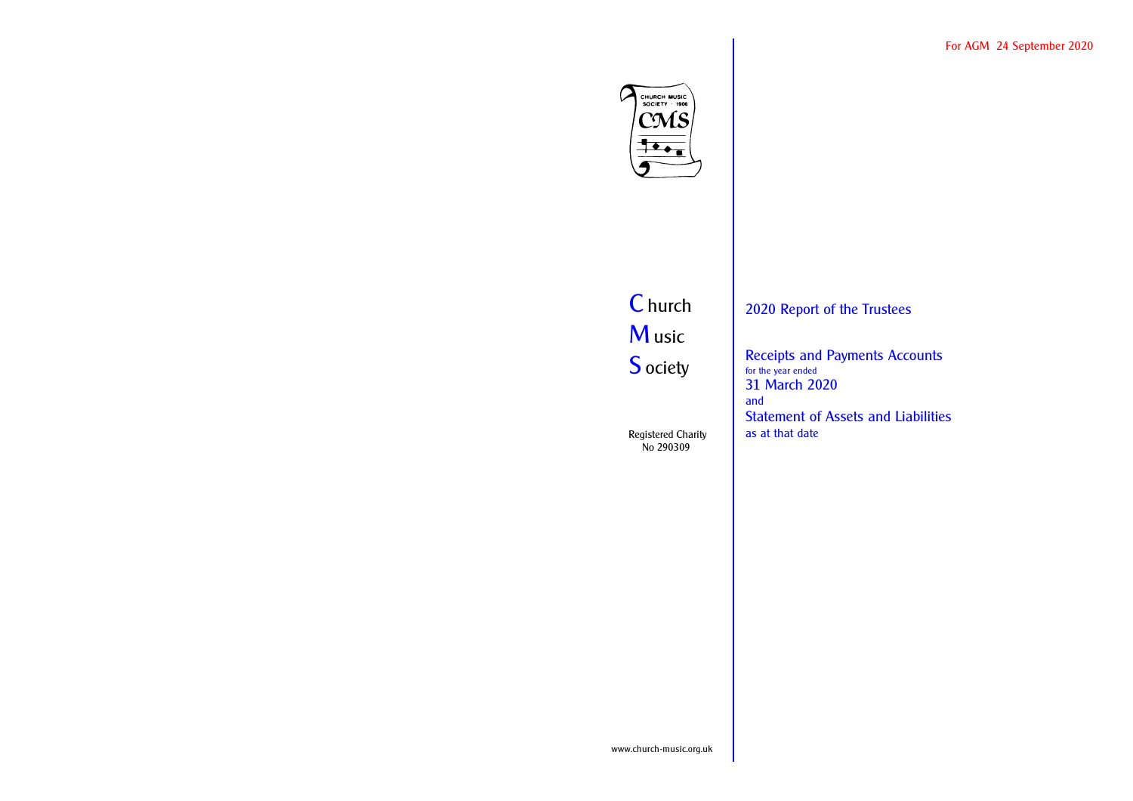

# C hurch M usic **S** ociety

 Registered Charity No 290309

# 2020 Report of the Trustees

Receipts and Payments Accounts for the year ended 31 March 2020 and Statement of Assets and Liabilities as at that date

www.church-music.org.uk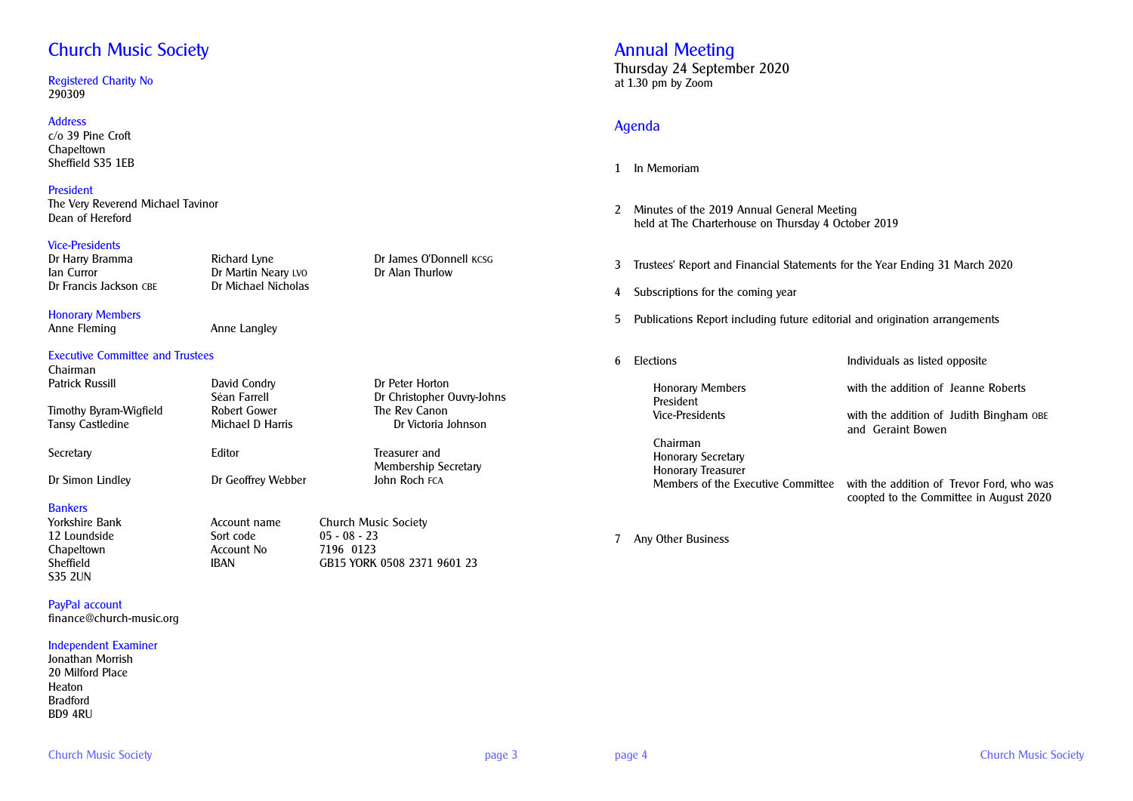# Church Music Society

Registered Charity No 290309

## Address

c/o 39 Pine Croft Chapeltown Sheffield S35 1EB

## President

The Very Reverend Michael Tavinor *Dean of Hereford*

## Vice-Presidents

Dr Harry Bramma Ian Curror Dr Francis Jackson CBE

Richard Lyne Dr Martin Neary LVO Dr Michael Nicholas Dr James O'Donnell KCSG Dr Alan Thurlow

Dr Peter Horton

The Rev Canon

*Treasurer and Membership Secretary* John Roch FCA

Dr Christopher Ouvry-Johns

Dr Victoria Johnson

Honorary Members Anne Fleming **Anne Langley** 

Account No

## Executive Committee and Trustees

*Chairman* Patrick Russill

Timothy Byram-Wigfield Tansy Castledine David Condry

*Secretary*

Dr Simon Lindley

Bankers<br>Yorkshire Bank 12 Loundside Sort code 05 - 08 - 23 S35 2UN

PayPal account finance@church-music.org

## Independent Examiner

Jonathan Morrish 20 Milford Place Heaton Bradford BD9 4RU

Séan Farrell Robert Gower Michael D Harris *Editor* Dr Geoffrey Webber

Account name Church Music Society<br>Sort code 05 - 08 - 23

Sheffield **IBAN** GB15 YORK 0508 2371 9601 23

# Annual Meeting

Thursday 24 September 2020 at 1.30 pm by Zoom

## Agenda

- 1 In Memoriam
- 2 Minutes of the 2019 Annual General Meeting held at The Charterhouse on Thursday 4 October 2019
- 3 Trustees' Report and Financial Statements for the Year Ending 31 March 2020
- 4 Subscriptions for the coming year
- 5 Publications Report including future editorial and origination arrangements
- 

6 Elections *Individuals as listed opposite*

President<br>Vice-Presidents

Chairman Honorary Secretary Honorary Treasurer

Honorary Members *with the addition of* Jeanne Roberts

with the addition of Judith Bingham OBE *and* Geraint Bowen

Members of the Executive Committee *with the addition of* Trevor Ford*, who was coopted to the Committee in August 2020*

7 Any Other Business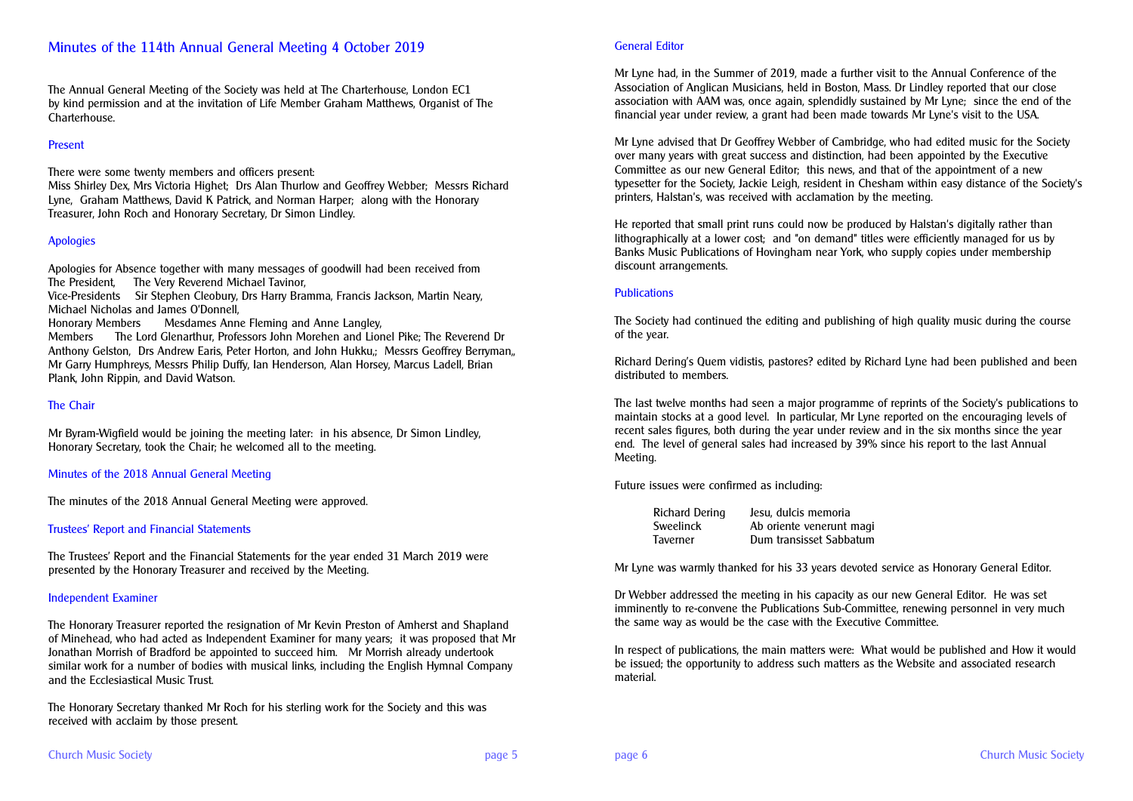## Minutes of the 114th Annual General Meeting 4 October 2019

The Annual General Meeting of the Society was held at The Charterhouse, London EC1 by kind permission and at the invitation of Life Member Graham Matthews, Organist of The Charterhouse.

## Present

There were some twenty members and officers present:

Miss Shirley Dex, Mrs Victoria Highet; Drs Alan Thurlow and Geoffrey Webber; Messrs Richard Lyne, Graham Matthews, David K Patrick, and Norman Harper; along with the Honorary Treasurer, John Roch and Honorary Secretary, Dr Simon Lindley.

## Apologies

Apologies for Absence together with many messages of goodwill had been received from *The President,* The Very Reverend Michael Tavinor, *Vice-Presidents* Sir Stephen Cleobury, Drs Harry Bramma, Francis Jackson, Martin Neary, Michael Nicholas and James O'Donnell,<br>Honorary Members Mesdames Anne *Mesdames Anne Fleming and Anne Langley, Members* The Lord Glenarthur, Professors John Morehen and Lionel Pike; The Reverend Dr Anthony Gelston, Drs Andrew Earis, Peter Horton, and John Hukku,; Messrs Geoffrey Berryman,, Mr Garry Humphreys, Messrs Philip Duffy, Ian Henderson, Alan Horsey, Marcus Ladell, Brian Plank, John Rippin, and David Watson.

## The Chair

Mr Byram-Wigfield would be joining the meeting later: in his absence, Dr Simon Lindley, Honorary Secretary, took the Chair; he welcomed all to the meeting.

## Minutes of the 2018 Annual General Meeting

The minutes of the 2018 Annual General Meeting were approved.

## Trustees' Report and Financial Statements

The Trustees' Report and the Financial Statements for the year ended 31 March 2019 were presented by the Honorary Treasurer and received by the Meeting.

## Independent Examiner

The Honorary Treasurer reported the resignation of Mr Kevin Preston of Amherst and Shapland of Minehead, who had acted as Independent Examiner for many years; it was proposed that Mr Jonathan Morrish of Bradford be appointed to succeed him. Mr Morrish already undertook similar work for a number of bodies with musical links, including the English Hymnal Company and the Ecclesiastical Music Trust.

The Honorary Secretary thanked Mr Roch for his sterling work for the Society and this was received with acclaim by those present.

## General Editor

Mr Lyne had, in the Summer of 2019, made a further visit to the Annual Conference of the Association of Anglican Musicians, held in Boston, Mass. Dr Lindley reported that our close association with AAM was, once again, splendidly sustained by Mr Lyne; since the end of the financial year under review, a grant had been made towards Mr Lyne's visit to the USA.

Mr Lyne advised that Dr Geoffrey Webber of Cambridge, who had edited music for the Society over many years with great success and distinction, had been appointed by the Executive Committee as our new General Editor; this news, and that of the appointment of a new typesetter for the Society, Jackie Leigh, resident in Chesham within easy distance of the Society's printers, Halstan's, was received with acclamation by the meeting.

He reported that small print runs could now be produced by Halstan's digitally rather than lithographically at a lower cost; and "on demand" titles were efficiently managed for us by Banks Music Publications of Hovingham near York, who supply copies under membership discount arrangements.

## **Publications**

The Society had continued the editing and publishing of high quality music during the course of the year.

Richard Dering's *Quem vidistis, pastores?* edited by Richard Lyne had been published and been distributed to members.

The last twelve months had seen a major programme of reprints of the Society's publications to maintain stocks at a good level. In particular, Mr Lyne reported on the encouraging levels of recent sales figures, both during the year under review and in the six months since the year end. The level of general sales had increased by 39% since his report to the last Annual Meeting.

Future issues were confirmed as including:

| Richard Dering  | Jesu, dulcis memoria     |
|-----------------|--------------------------|
| Sweelinck       | Ab oriente venerunt magi |
| <b>Taverner</b> | Dum transisset Sabbatum  |

Mr Lyne was warmly thanked for his 33 years devoted service as Honorary General Editor.

Dr Webber addressed the meeting in his capacity as our new General Editor. He was set imminently to re-convene the Publications Sub-Committee, renewing personnel in very much the same way as would be the case with the Executive Committee.

In respect of publications, the main matters were: *What* would be published and *How* it would be issued; the opportunity to address such matters as the Website and associated research material.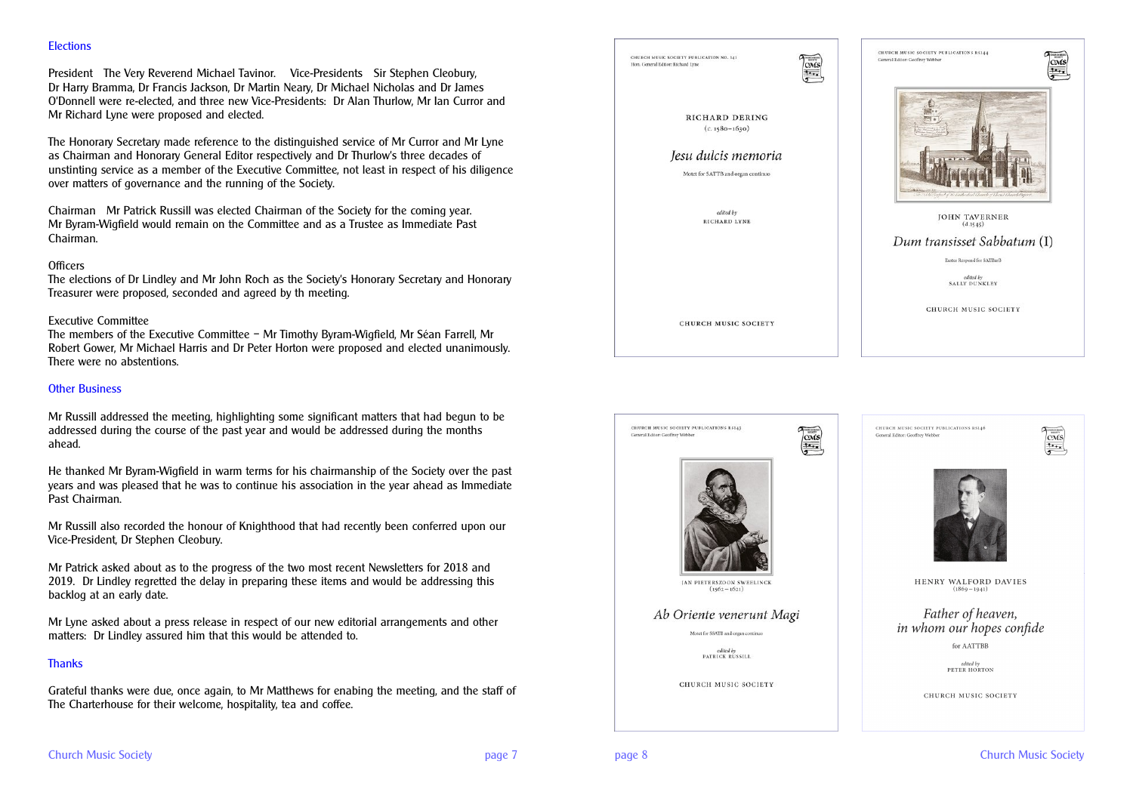## **Elections**

*President* The Very Reverend Michael Tavinor. *Vice-Presidents* Sir Stephen Cleobury, Dr Harry Bramma, Dr Francis Jackson, Dr Martin Neary, Dr Michael Nicholas and Dr James O'Donnell were re-elected, and three new Vice-Presidents: Dr Alan Thurlow, Mr Ian Curror and Mr Richard Lyne were proposed and elected.

The Honorary Secretary made reference to the distinguished service of Mr Curror and Mr Lyne as Chairman and Honorary General Editor respectively and Dr Thurlow's three decades of unstinting service as a member of the Executive Committee, not least in respect of his diligence over matters of governance and the running of the Society.

*Chairman* Mr Patrick Russill was elected Chairman of the Society for the coming year. Mr Byram-Wigfield would remain on the Committee and as a Trustee as Immediate Past Chairman.

## *Officers*

The elections of Dr Lindley and Mr John Roch as the Society's Honorary Secretary and Honorary Treasurer were proposed, seconded and agreed by th meeting.

#### *Executive Committee*

The members of the Executive Committee – Mr Timothy Byram-Wigfield, Mr Séan Farrell, Mr Robert Gower, Mr Michael Harris and Dr Peter Horton were proposed and elected unanimously. There were no abstentions.

## Other Business

Mr Russill addressed the meeting, highlighting some significant matters that had begun to be addressed during the course of the past year and would be addressed during the months ahead.

He thanked Mr Byram-Wigfield in warm terms for his chairmanship of the Society over the past years and was pleased that he was to continue his association in the year ahead as Immediate Past Chairman.

Mr Russill also recorded the honour of Knighthood that had recently been conferred upon our Vice-President, Dr Stephen Cleobury.

Mr Patrick asked about as to the progress of the two most recent Newsletters for 2018 and 2019. Dr Lindley regretted the delay in preparing these items and would be addressing this backlog at an early date.

Mr Lyne asked about a press release in respect of our new editorial arrangements and other matters: Dr Lindley assured him that this would be attended to.

## **Thanks**

Grateful thanks were due, once again, to Mr Matthews for enabing the meeting, and the staff of The Charterhouse for their welcome, hospitality, tea and coffee.





 $(1869 - 1941$ 

for AATTBB

aditad by PETER HORTON  $\equiv$ 

 $|{\rm cms}|$  $\frac{1}{2}$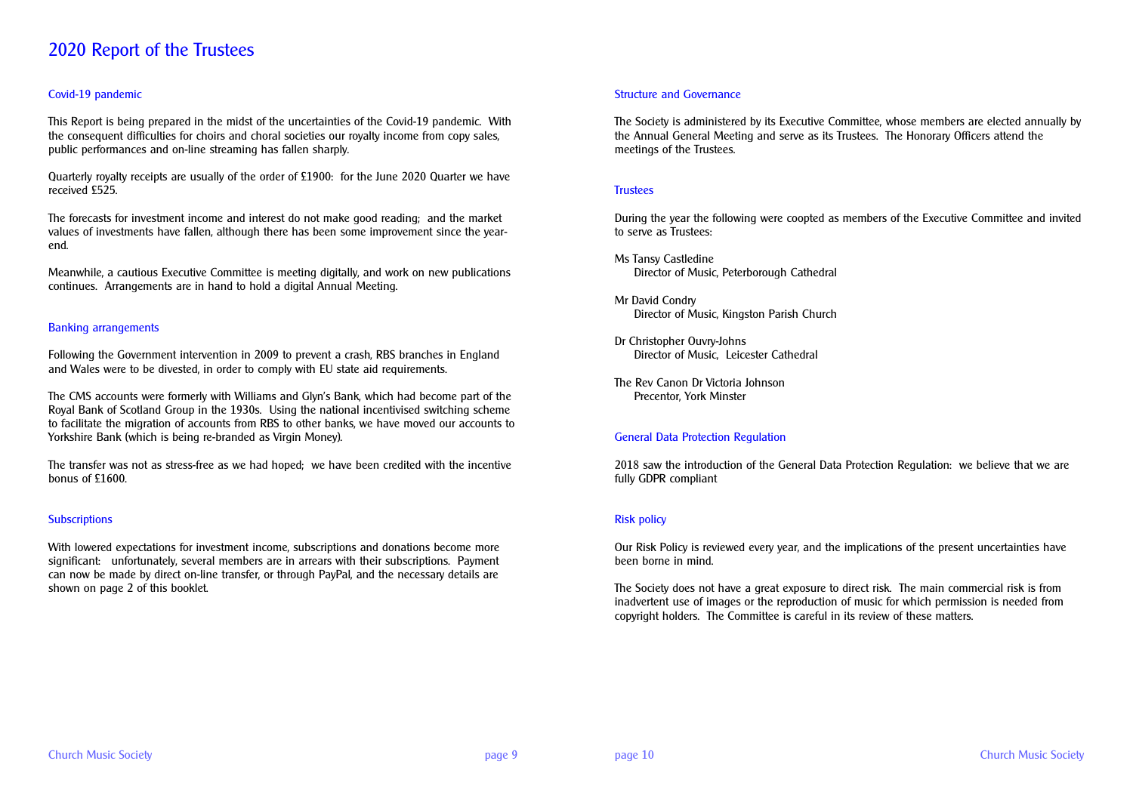# 2020 Report of the Trustees

## Covid-19 pandemic

This Report is being prepared in the midst of the uncertainties of the Covid-19 pandemic. With the consequent difficulties for choirs and choral societies our royalty income from copy sales, public performances and on-line streaming has fallen sharply.

Quarterly royalty receipts are usually of the order of £1900: for the June 2020 Quarter we have received £525.

The forecasts for investment income and interest do not make good reading; and the market values of investments have fallen, although there has been some improvement since the yearend.

Meanwhile, a cautious Executive Committee is meeting digitally, and work on new publications continues. Arrangements are in hand to hold a digital Annual Meeting.

## Banking arrangements

Following the Government intervention in 2009 to prevent a crash, RBS branches in England and Wales were to be divested, in order to comply with EU state aid requirements.

The CMS accounts were formerly with Williams and Glyn's Bank, which had become part of the Royal Bank of Scotland Group in the 1930s. Using the national incentivised switching scheme to facilitate the migration of accounts from RBS to other banks, we have moved our accounts to Yorkshire Bank (which is being re-branded as Virgin Money).

The transfer was not as stress-free as we had hoped; we have been credited with the incentive bonus of £1600.

## **Subscriptions**

With lowered expectations for investment income, subscriptions and donations become more significant: unfortunately, several members are in arrears with their subscriptions. Payment can now be made by direct on-line transfer, or through PayPal, and the necessary details are shown on page 2 of this booklet.

## Structure and Governance

The Society is administered by its Executive Committee, whose members are elected annually by the Annual General Meeting and serve as its Trustees. The Honorary Officers attend the meetings of the Trustees.

## **Trustees**

During the year the following were coopted as members of the Executive Committee and invited to serve as Trustees:

Ms Tansy Castledine *Director of Music, Peterborough Cathedral*

Mr David Condry *Director of Music, Kingston Parish Church*

- Dr Christopher Ouvry-Johns *Director of Music, Leicester Cathedral*
- The Rev Canon Dr Victoria Johnson *Precentor, York Minster*

## General Data Protection Regulation

2018 saw the introduction of the General Data Protection Regulation: we believe that we are fully GDPR compliant

## Risk policy

Our Risk Policy is reviewed every year, and the implications of the present uncertainties have been borne in mind.

The Society does not have a great exposure to direct risk. The main commercial risk is from inadvertent use of images or the reproduction of music for which permission is needed from copyright holders. The Committee is careful in its review of these matters.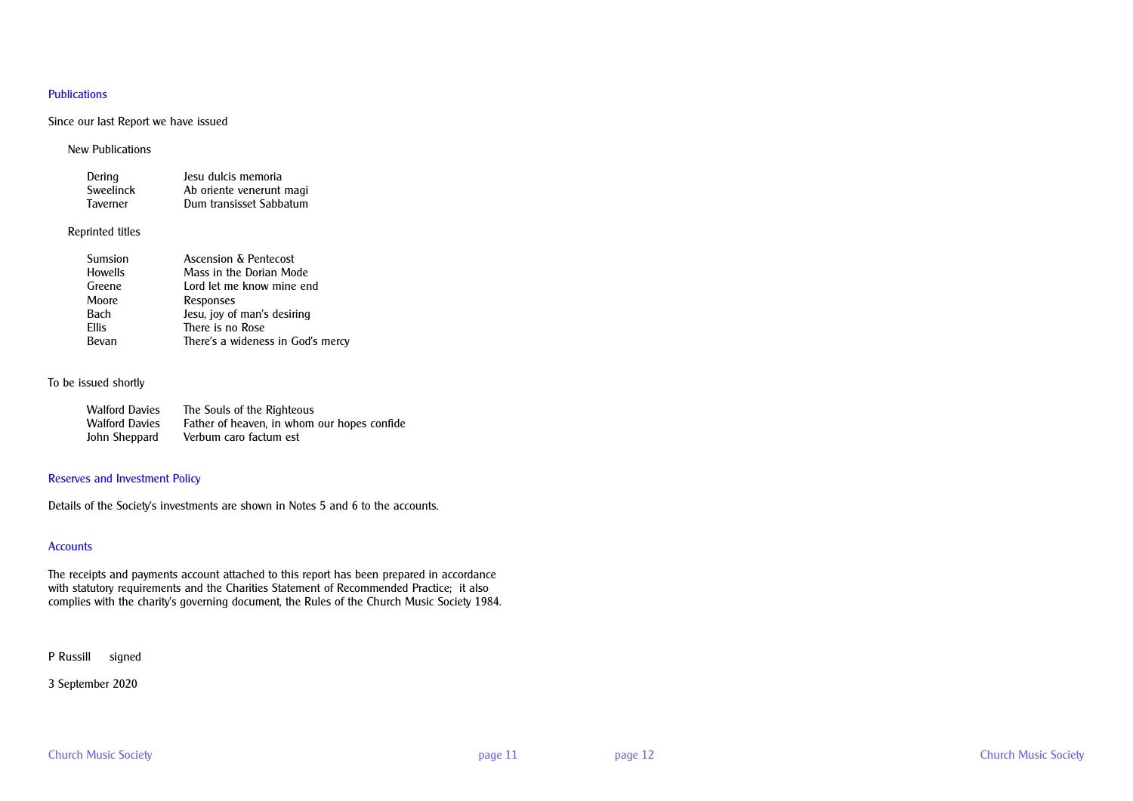#### Publications

## Since our last Report we have issued

## *New Publications*

| Dering           | Jesu dulcis memoria      |
|------------------|--------------------------|
| <b>Sweelinck</b> | Ab oriente venerunt magi |
| <b>Taverner</b>  | Dum transisset Sabbatum  |

## *Reprinted titles*

| Sumsion | Ascension & Pentecost             |
|---------|-----------------------------------|
| Howells | Mass in the Dorian Mode           |
| Greene  | Lord let me know mine end         |
| Moore   | <b>Responses</b>                  |
| Bach    | Jesu, joy of man's desiring       |
| Ellis   | There is no Rose                  |
| Bevan   | There's a wideness in God's mercy |

## To be issued shortly

| <b>Walford Davies</b> | The Souls of the Righteous                  |
|-----------------------|---------------------------------------------|
| <b>Walford Davies</b> | Father of heaven, in whom our hopes confide |
| John Sheppard         | Verbum caro factum est                      |

## Reserves and Investment Policy

Details of the Society's investments are shown in Notes 5 and 6 to the accounts.

## **Accounts**

The receipts and payments account attached to this report has been prepared in accordance with statutory requirements and the Charities Statement of Recommended Practice; it also complies with the charity's governing document, the *Rules of the Church Music Society* 1984.

P Russill *signed*

3 September 2020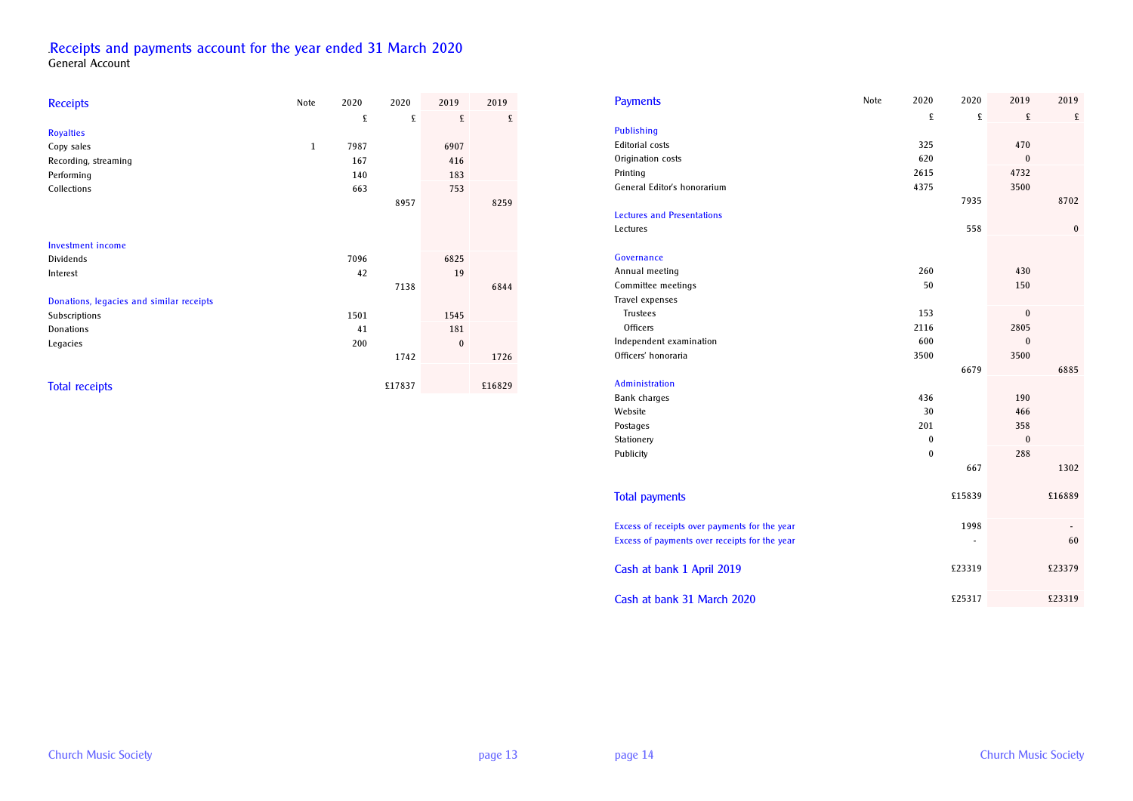## .Receipts and payments account for the year ended 31 March 2020 General Account

| <b>Receipts</b>                          | Note         | 2020 | 2020   | 2019     | 2019   |
|------------------------------------------|--------------|------|--------|----------|--------|
|                                          |              | £    | £      | £        | £      |
| <b>Royalties</b>                         |              |      |        |          |        |
| Copy sales                               | $\mathbf{1}$ | 7987 |        | 6907     |        |
| Recording, streaming                     |              | 167  |        | 416      |        |
| Performing                               |              | 140  |        | 183      |        |
| Collections                              |              | 663  |        | 753      |        |
|                                          |              |      | 8957   |          | 8259   |
|                                          |              |      |        |          |        |
| <b>Investment income</b>                 |              |      |        |          |        |
| Dividends                                |              | 7096 |        | 6825     |        |
| Interest                                 |              | 42   |        | 19       |        |
|                                          |              |      | 7138   |          | 6844   |
| Donations, legacies and similar receipts |              |      |        |          |        |
| Subscriptions                            |              | 1501 |        | 1545     |        |
| Donations                                |              | 41   |        | 181      |        |
| Legacies                                 |              | 200  |        | $\bf{0}$ |        |
|                                          |              |      | 1742   |          | 1726   |
| <b>Total receipts</b>                    |              |      | £17837 |          | £16829 |

| <b>Payments</b>                               | Note | 2020     | 2020   | 2019         | 2019     |
|-----------------------------------------------|------|----------|--------|--------------|----------|
|                                               |      | £        | £      | £            | £        |
| <b>Publishing</b>                             |      |          |        |              |          |
| <b>Editorial costs</b>                        |      | 325      |        | 470          |          |
| Origination costs                             |      | 620      |        | $\mathbf{0}$ |          |
| Printing                                      |      | 2615     |        | 4732         |          |
| General Editor's honorarium                   |      | 4375     |        | 3500         |          |
|                                               |      |          | 7935   |              | 8702     |
| <b>Lectures and Presentations</b>             |      |          |        |              |          |
| Lectures                                      |      |          | 558    |              | $\bf{0}$ |
| Governance                                    |      |          |        |              |          |
| Annual meeting                                |      | 260      |        | 430          |          |
| Committee meetings                            |      | 50       |        | 150          |          |
| Travel expenses                               |      |          |        |              |          |
| <b>Trustees</b>                               |      | 153      |        | $\bf{0}$     |          |
| <b>Officers</b>                               |      | 2116     |        | 2805         |          |
| Independent examination                       |      | 600      |        | $\mathbf{0}$ |          |
| Officers' honoraria                           |      | 3500     |        | 3500         |          |
|                                               |      |          | 6679   |              | 6885     |
| <b>Administration</b>                         |      |          |        |              |          |
| <b>Bank charges</b>                           |      | 436      |        | 190          |          |
| Website                                       |      | 30       |        | 466          |          |
| Postages                                      |      | 201      |        | 358          |          |
| Stationery                                    |      | $\bf{0}$ |        | $\bf{0}$     |          |
| Publicity                                     |      | $\bf{0}$ |        | 288          |          |
|                                               |      |          | 667    |              | 1302     |
| <b>Total payments</b>                         |      |          | £15839 |              | £16889   |
|                                               |      |          |        |              |          |
| Excess of receipts over payments for the year |      |          | 1998   |              |          |
| Excess of payments over receipts for the year |      |          |        |              | 60       |
|                                               |      |          |        |              |          |
| Cash at bank 1 April 2019                     |      |          | £23319 |              | £23379   |
| Cash at bank 31 March 2020                    |      |          | £25317 |              | £23319   |
|                                               |      |          |        |              |          |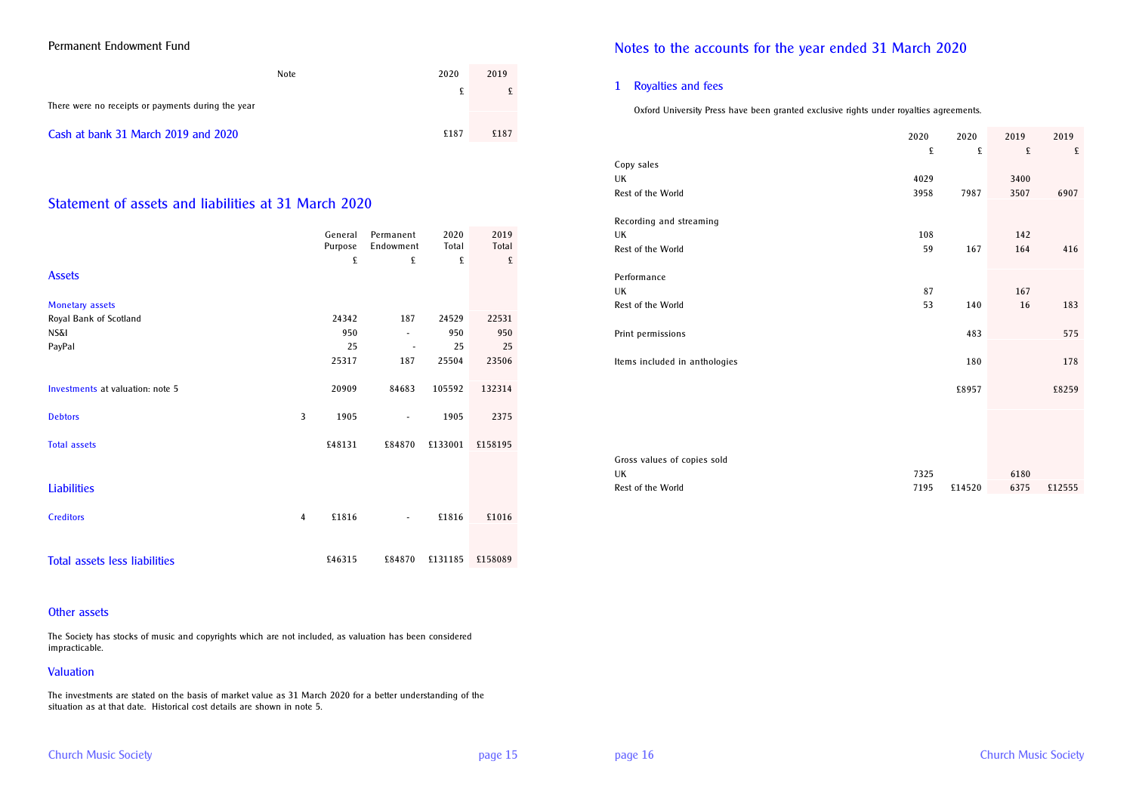## Permanent Endowment Fund

|                                                    | 2020<br>Note | 2019 |
|----------------------------------------------------|--------------|------|
|                                                    | £            |      |
| There were no receipts or payments during the year |              |      |
| Cash at bank 31 March 2019 and 2020                | £187         | £187 |

## Statement of assets and liabilities at 31 March 2020

|                                      |                | General<br>Purpose | Permanent<br>Endowment   | 2020<br>Total | 2019<br>Total |  |
|--------------------------------------|----------------|--------------------|--------------------------|---------------|---------------|--|
|                                      |                | £                  | £                        | £             | £             |  |
| <b>Assets</b>                        |                |                    |                          |               |               |  |
| <b>Monetary assets</b>               |                |                    |                          |               |               |  |
| Royal Bank of Scotland               |                | 24342              | 187                      | 24529         | 22531         |  |
| NS&Ι                                 |                | 950                | $\blacksquare$           | 950           | 950           |  |
| PayPal                               |                | 25                 | $\overline{\phantom{a}}$ | 25            | 25            |  |
|                                      |                | 25317              | 187                      | 25504         | 23506         |  |
| Investments at valuation: note 5     |                | 20909              | 84683                    | 105592        | 132314        |  |
| <b>Debtors</b>                       | $\overline{3}$ | 1905               | $\blacksquare$           | 1905          | 2375          |  |
| <b>Total assets</b>                  |                | £48131             | £84870                   | £133001       | £158195       |  |
|                                      |                |                    |                          |               |               |  |
| <b>Liabilities</b>                   |                |                    |                          |               |               |  |
| <b>Creditors</b>                     | 4              | £1816              | ٠                        | £1816         | £1016         |  |
|                                      |                |                    |                          |               |               |  |
| <b>Total assets less liabilities</b> |                | £46315             | £84870                   | £131185       | £158089       |  |

## Other assets

The Society has stocks of music and copyrights which are not included, as valuation has been considered impracticable.

## Valuation

The investments are stated on the basis of market value as 31 March 2020 for a better understanding of the situation as at that date. Historical cost details are shown in note 5.

## Church Music Society *page 15*

## Notes to the accounts for the year ended 31 March 2020

## 1 Royalties and fees

Oxford University Press have been granted exclusive rights under royalties agreements.

|                               | 2020 | 2020   | 2019 | 2019   |
|-------------------------------|------|--------|------|--------|
|                               | £    | £      | £    | £      |
| Copy sales                    |      |        |      |        |
| UK                            | 4029 |        | 3400 |        |
| Rest of the World             | 3958 | 7987   | 3507 | 6907   |
|                               |      |        |      |        |
| Recording and streaming       |      |        |      |        |
| UK                            | 108  |        | 142  |        |
| Rest of the World             | 59   | 167    | 164  | 416    |
|                               |      |        |      |        |
| Performance                   |      |        |      |        |
| <b>UK</b>                     | 87   |        | 167  |        |
| Rest of the World             | 53   | 140    | 16   | 183    |
|                               |      |        |      |        |
| Print permissions             |      | 483    |      | 575    |
|                               |      |        |      |        |
| Items included in anthologies |      | 180    |      | 178    |
|                               |      |        |      |        |
|                               |      | £8957  |      | £8259  |
|                               |      |        |      |        |
|                               |      |        |      |        |
|                               |      |        |      |        |
| Gross values of copies sold   |      |        |      |        |
| <b>UK</b>                     | 7325 |        | 6180 |        |
| Rest of the World             | 7195 | £14520 | 6375 | £12555 |
|                               |      |        |      |        |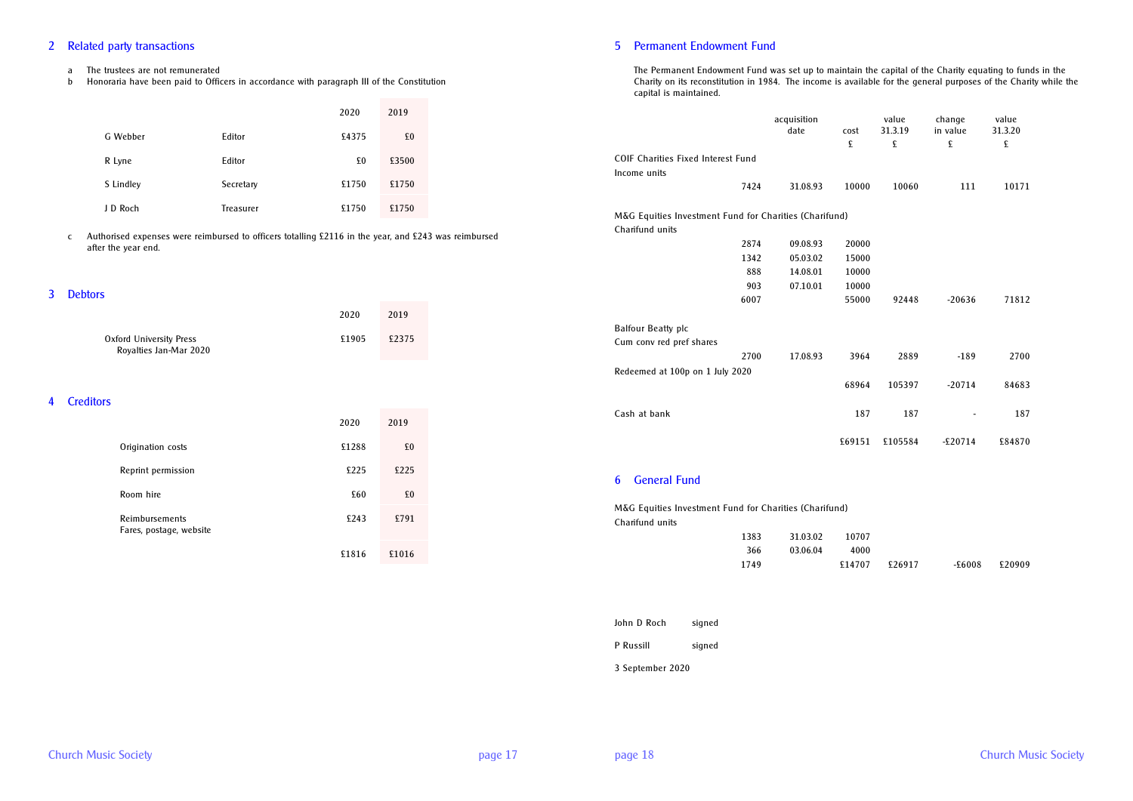#### 2 Related party transactions

- a The trustees are not remunerated
- b Honoraria have been paid to Officers in accordance with paragraph III of the Constitution

|           |           | 2020   | 2019  |
|-----------|-----------|--------|-------|
| G Webber  | Editor    | \$4375 | £0    |
| R Lyne    | Editor    | £0     | £3500 |
| S Lindley | Secretary | £1750  | £1750 |
| J D Roch  | Treasurer | £1750  | £1750 |

c Authorised expenses were reimbursed to officers totalling £2116 in the year, and £243 was reimbursed after the year end.

#### 3 Debtors

|                                                   | 2020  | 2019  |
|---------------------------------------------------|-------|-------|
| Oxford University Press<br>Royalties Jan-Mar 2020 | £1905 | £2375 |

#### 4 Creditors

|                                           | 2020  | 2019  |  |
|-------------------------------------------|-------|-------|--|
| Origination costs                         | £1288 | £O    |  |
| Reprint permission                        | £225  | £225  |  |
| Room hire                                 | £60   | £O    |  |
| Reimbursements<br>Fares, postage, website | £243  | £791  |  |
|                                           | £1816 | £1016 |  |

## 5 Permanent Endowment Fund

The Permanent Endowment Fund was set up to maintain the capital of the Charity equating to funds in the Charity on its reconstitution in 1984. The income is available for the general purposes of the Charity while the capital is maintained.

|                                                        |      | acquisition |        | value   | change    | value   |  |  |  |
|--------------------------------------------------------|------|-------------|--------|---------|-----------|---------|--|--|--|
|                                                        |      | date        | cost   | 31.3.19 | in value  | 31.3.20 |  |  |  |
|                                                        |      |             | £      | £       | £         | £       |  |  |  |
| <b>COIF Charities Fixed Interest Fund</b>              |      |             |        |         |           |         |  |  |  |
| Income units                                           |      |             |        |         |           |         |  |  |  |
|                                                        | 7424 | 31.08.93    | 10000  | 10060   | 111       | 10171   |  |  |  |
| M&G Equities Investment Fund for Charities (Charifund) |      |             |        |         |           |         |  |  |  |
| Charifund units                                        |      |             |        |         |           |         |  |  |  |
|                                                        | 2874 | 09.08.93    | 20000  |         |           |         |  |  |  |
|                                                        | 1342 | 05.03.02    | 15000  |         |           |         |  |  |  |
|                                                        | 888  | 14.08.01    | 10000  |         |           |         |  |  |  |
|                                                        | 903  | 07.10.01    | 10000  |         |           |         |  |  |  |
|                                                        | 6007 |             | 55000  | 92448   | $-20636$  | 71812   |  |  |  |
| <b>Balfour Beatty plc</b>                              |      |             |        |         |           |         |  |  |  |
| Cum conv red pref shares                               |      |             |        |         |           |         |  |  |  |
|                                                        | 2700 | 17.08.93    | 3964   | 2889    | $-189$    | 2700    |  |  |  |
| Redeemed at 100p on 1 July 2020                        |      |             |        |         |           |         |  |  |  |
|                                                        |      |             | 68964  | 105397  | $-20714$  | 84683   |  |  |  |
| Cash at bank                                           |      |             | 187    | 187     |           | 187     |  |  |  |
|                                                        |      |             | £69151 | £105584 | $-520714$ | £84870  |  |  |  |

## 6 General Fund

| M&G Equities Investment Fund for Charities (Charifund) |      |                   |        |        |        |
|--------------------------------------------------------|------|-------------------|--------|--------|--------|
| Charifund units                                        |      |                   |        |        |        |
|                                                        | 1383 | 31.03.02<br>10707 |        |        |        |
|                                                        | 366  | 4000<br>03.06.04  |        |        |        |
|                                                        | 1749 | £14707            | £26917 | -£6008 | £20909 |

| John D Roch      | signed |  |  |  |  |
|------------------|--------|--|--|--|--|
| P Russill        | signed |  |  |  |  |
| 3 September 2020 |        |  |  |  |  |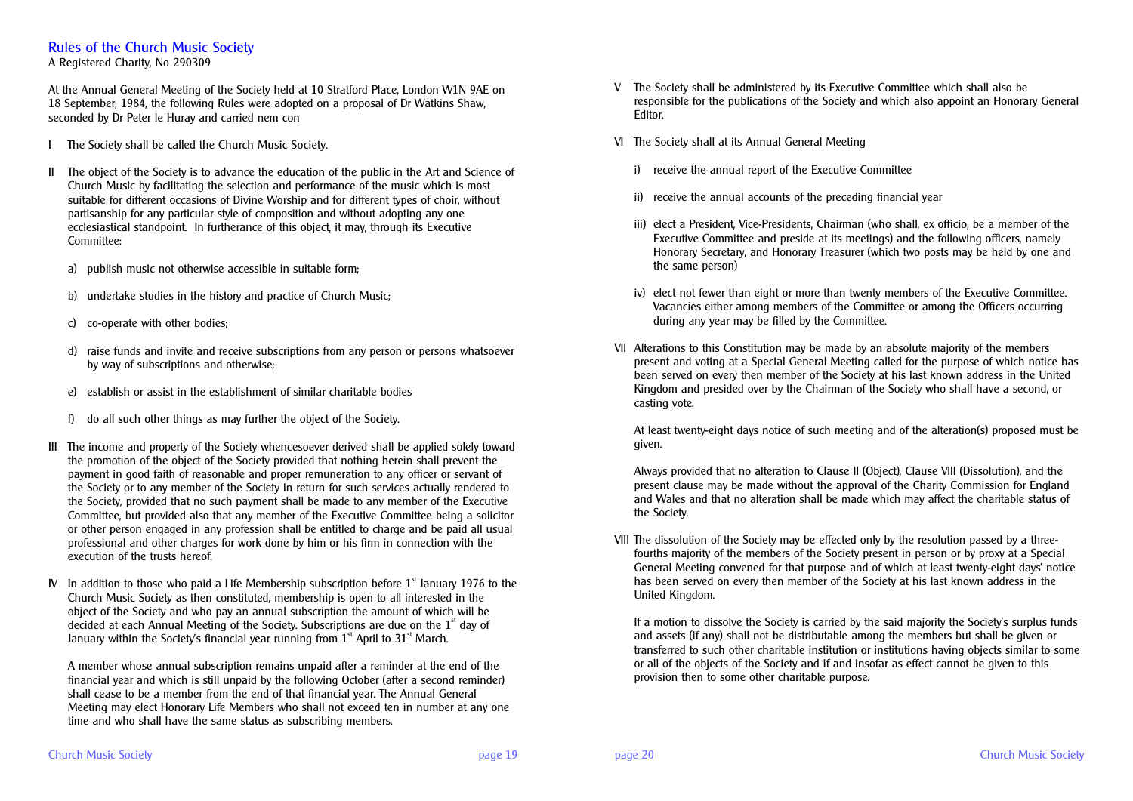# Rules of the Church Music Society

A Registered Charity, No 290309

At the Annual General Meeting of the Society held at 10 Stratford Place, London W1N 9AE on 18 September, 1984, the following Rules were adopted on a proposal of Dr Watkins Shaw, seconded by Dr Peter le Huray and carried *nem con*

- I The Society shall be called the Church Music Society.
- II The object of the Society is to advance the education of the public in the Art and Science of Church Music by facilitating the selection and performance of the music which is most suitable for different occasions of Divine Worship and for different types of choir, without partisanship for any particular style of composition and without adopting any one ecclesiastical standpoint. In furtherance of this object, it may, through its Executive Committee:
	- a) publish music not otherwise accessible in suitable form;
	- b) undertake studies in the history and practice of Church Music;
	- c) co-operate with other bodies;
	- d) raise funds and invite and receive subscriptions from any person or persons whatsoever by way of subscriptions and otherwise;
	- e) establish or assist in the establishment of similar charitable bodies
	- f) do all such other things as may further the object of the Society.
- III The income and property of the Society whencesoever derived shall be applied solely toward the promotion of the object of the Society provided that nothing herein shall prevent the payment in good faith of reasonable and proper remuneration to any officer or servant of the Society or to any member of the Society in return for such services actually rendered to the Society, provided that no such payment shall be made to any member of the Executive Committee, but provided also that any member of the Executive Committee being a solicitor or other person engaged in any profession shall be entitled to charge and be paid all usual professional and other charges for work done by him or his firm in connection with the execution of the trusts hereof.
- IV In addition to those who paid a Life Membership subscription before  $1<sup>st</sup>$  January 1976 to the Church Music Society as then constituted, membership is open to all interested in the object of the Society and who pay an annual subscription the amount of which will be decided at each Annual Meeting of the Society. Subscriptions are due on the  $1<sup>st</sup>$  day of January within the Society's financial year running from  $1<sup>st</sup>$  April to 31 $<sup>st</sup>$  March.</sup>

A member whose annual subscription remains unpaid after a reminder at the end of the financial year and which is still unpaid by the following October (after a second reminder) shall cease to be a member from the end of that financial year. The Annual General Meeting may elect Honorary Life Members who shall not exceed ten in number at any one time and who shall have the same status as subscribing members.

- V The Society shall be administered by its Executive Committee which shall also be responsible for the publications of the Society and which also appoint an Honorary General Editor.
- VI The Society shall at its Annual General Meeting
	- i) receive the annual report of the Executive Committee
	- ii) receive the annual accounts of the preceding financial year
	- iii) elect a President, Vice-Presidents, Chairman (who shall, ex officio, be a member of the Executive Committee and preside at its meetings) and the following officers, namely Honorary Secretary, and Honorary Treasurer (which two posts may be held by one and the same person)
	- iv) elect not fewer than eight or more than twenty members of the Executive Committee. Vacancies either among members of the Committee or among the Officers occurring during any year may be filled by the Committee.
- VII Alterations to this Constitution may be made by an absolute majority of the members present and voting at a Special General Meeting called for the purpose of which notice has been served on every then member of the Society at his last known address in the United Kingdom and presided over by the Chairman of the Society who shall have a second, or casting vote.

At least twenty-eight days notice of such meeting and of the alteration(s) proposed must be given.

Always provided that no alteration to Clause II (Object), Clause VIII (Dissolution), and the present clause may be made without the approval of the Charity Commission for England and Wales and that no alteration shall be made which may affect the charitable status of the Society.

VIII The dissolution of the Society may be effected only by the resolution passed by a threefourths majority of the members of the Society present in person or by proxy at a Special General Meeting convened for that purpose and of which at least twenty-eight days' notice has been served on every then member of the Society at his last known address in the United Kingdom.

If a motion to dissolve the Society is carried by the said majority the Society's surplus funds and assets (if any) shall not be distributable among the members but shall be given or transferred to such other charitable institution or institutions having objects similar to some or all of the objects of the Society and if and insofar as effect cannot be given to this provision then to some other charitable purpose.